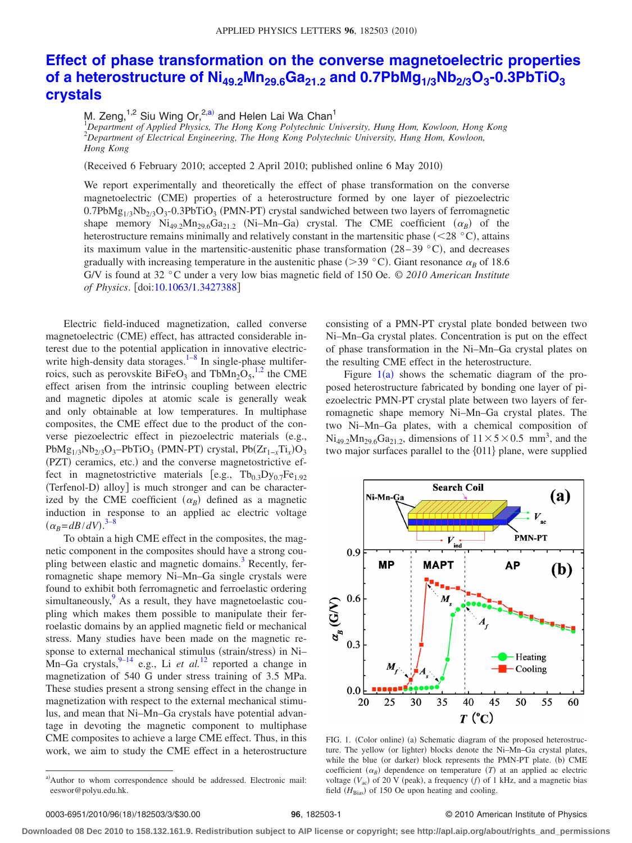## **[Effect of phase transformation on the converse magnetoelectric properties](http://dx.doi.org/10.1063/1.3427388) [of a heterostructure of Ni49.2Mn29.6Ga21.2](http://dx.doi.org/10.1063/1.3427388) and 0.7PbMg1/3Nb2/3O3-0.3PbTiO3 [crystals](http://dx.doi.org/10.1063/1.3427388)**

M. Zeng,  $1,2$  Siu Wing Or,  $2, a$  and Helen Lai Wa Chan<sup>1</sup>

1 *Department of Applied Physics, The Hong Kong Polytechnic University, Hung Hom, Kowloon, Hong Kong* 2 *Department of Electrical Engineering, The Hong Kong Polytechnic University, Hung Hom, Kowloon, Hong Kong*

(Received 6 February 2010; accepted 2 April 2010; published online 6 May 2010)

We report experimentally and theoretically the effect of phase transformation on the converse magnetoelectric (CME) properties of a heterostructure formed by one layer of piezoelectric  $0.7PbMg_{1/3}Nb_{2/3}O_3-0.3PbTiO_3$  (PMN-PT) crystal sandwiched between two layers of ferromagnetic shape memory  $\text{Ni}_{49.2}\text{Mn}_{29.6}\text{Ga}_{21.2}$  (Ni–Mn–Ga) crystal. The CME coefficient  $(\alpha_B)$  of the heterostructure remains minimally and relatively constant in the martensitic phase ( $\leq$ 28 °C), attains its maximum value in the martensitic-austenitic phase transformation  $(28-39 \degree C)$ , and decreases gradually with increasing temperature in the austenitic phase ( $>$ 39 °C). Giant resonance  $\alpha_B$  of 18.6 G/V is found at 32 °C under a very low bias magnetic field of 150 Oe. © *2010 American Institute of Physics*. doi[:10.1063/1.3427388](http://dx.doi.org/10.1063/1.3427388)

Electric field-induced magnetization, called converse magnetoelectric (CME) effect, has attracted considerable interest due to the potential application in innovative electricwrite high-density data storages. $1-8$  $1-8$  In single-phase multiferroics, such as perovskite  $BiFeO<sub>3</sub>$  and  $TbMn<sub>2</sub>O<sub>5</sub>,<sup>1,2</sup>$  $TbMn<sub>2</sub>O<sub>5</sub>,<sup>1,2</sup>$  $TbMn<sub>2</sub>O<sub>5</sub>,<sup>1,2</sup>$  $TbMn<sub>2</sub>O<sub>5</sub>,<sup>1,2</sup>$  the CME effect arisen from the intrinsic coupling between electric and magnetic dipoles at atomic scale is generally weak and only obtainable at low temperatures. In multiphase composites, the CME effect due to the product of the converse piezoelectric effect in piezoelectric materials (e.g., PbMg<sub>1/3</sub>Nb<sub>2/3</sub>O<sub>3</sub>–PbTiO<sub>3</sub> (PMN-PT) crystal, Pb(Zr<sub>1–*x*</sub>Ti<sub>x</sub>)O<sub>3</sub> (PZT) ceramics, etc.) and the converse magnetostrictive effect in magnetostrictive materials [e.g.,  $Tb_{0.3}Dy_{0.7}Fe_{1.92}$ (Terfenol-D) alloy] is much stronger and can be characterized by the CME coefficient  $(\alpha_B)$  defined as a magnetic induction in response to an applied ac electric voltage  $(\alpha_B = dB/dV)^{3-8}$  $(\alpha_B = dB/dV)^{3-8}$  $(\alpha_B = dB/dV)^{3-8}$ 

To obtain a high CME effect in the composites, the magnetic component in the composites should have a strong coupling between elastic and magnetic domains.<sup>3</sup> Recently, ferromagnetic shape memory Ni–Mn–Ga single crystals were found to exhibit both ferromagnetic and ferroelastic ordering simultaneously, $\frac{9}{5}$  As a result, they have magnetoelastic coupling which makes them possible to manipulate their ferroelastic domains by an applied magnetic field or mechanical stress. Many studies have been made on the magnetic response to external mechanical stimulus (strain/stress) in Ni-Mn–Ga crystals,<sup>9[–14](#page-2-5)</sup> e.g., Li et al.<sup>[12](#page-2-6)</sup> reported a change in magnetization of 540 G under stress training of 3.5 MPa. These studies present a strong sensing effect in the change in magnetization with respect to the external mechanical stimulus, and mean that Ni–Mn–Ga crystals have potential advantage in devoting the magnetic component to multiphase CME composites to achieve a large CME effect. Thus, in this work, we aim to study the CME effect in a heterostructure

consisting of a PMN-PT crystal plate bonded between two Ni–Mn–Ga crystal plates. Concentration is put on the effect of phase transformation in the Ni–Mn–Ga crystal plates on the resulting CME effect in the heterostructure.

Figure  $1(a)$  $1(a)$  shows the schematic diagram of the proposed heterostructure fabricated by bonding one layer of piezoelectric PMN-PT crystal plate between two layers of ferromagnetic shape memory Ni–Mn–Ga crystal plates. The two Ni–Mn–Ga plates, with a chemical composition of  $Ni<sub>49.2</sub>Mn<sub>29.6</sub>Ga<sub>21.2</sub>$ , dimensions of  $11 \times 5 \times 0.5$  mm<sup>3</sup>, and the two major surfaces parallel to the  $\{011\}$  plane, were supplied

<span id="page-0-1"></span>

FIG. 1. (Color online) (a) Schematic diagram of the proposed heterostructure. The yellow (or lighter) blocks denote the Ni-Mn-Ga crystal plates, while the blue (or darker) block represents the PMN-PT plate. (b) CME coefficient  $(\alpha_B)$  dependence on temperature  $(T)$  at an applied ac electric voltage  $(V_{ac})$  of 20 V (peak), a frequency  $(f)$  of 1 kHz, and a magnetic bias field  $(H_{\text{Bias}})$  of 150 Oe upon heating and cooling.

**Downloaded 08 Dec 2010 to 158.132.161.9. Redistribution subject to AIP license or copyright; see http://apl.aip.org/about/rights\_and\_permissions**

<span id="page-0-0"></span>a)Author to whom correspondence should be addressed. Electronic mail: eeswor@polyu.edu.hk.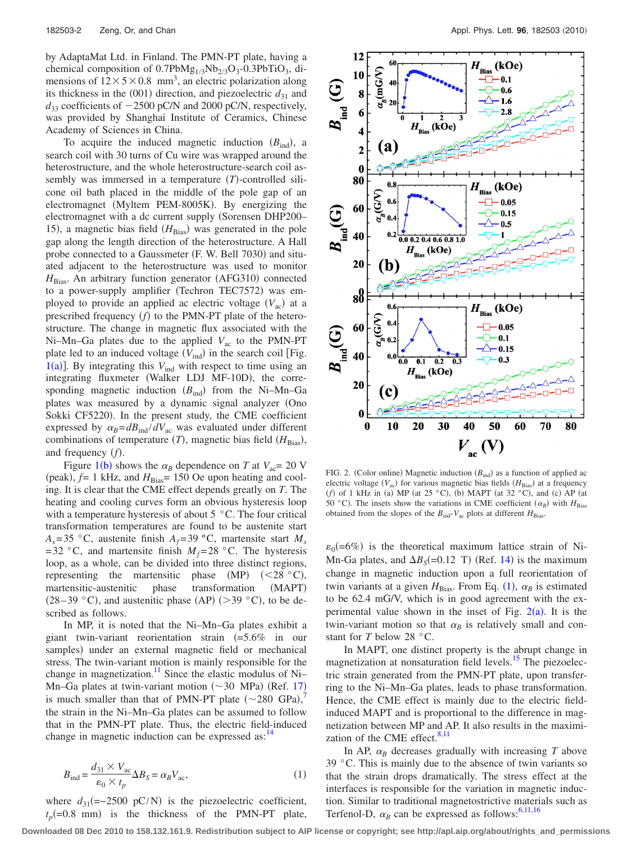by AdaptaMat Ltd. in Finland. The PMN-PT plate, having a chemical composition of  $0.7PbMg_{1/3}Nb_{2/3}O_3-0.3PbTiO_3$ , dimensions of  $12 \times 5 \times 0.8$  mm<sup>3</sup>, an electric polarization along its thickness in the  $(001)$  direction, and piezoelectric  $d_{31}$  and  $d_{33}$  coefficients of  $-2500$  pC/N and 2000 pC/N, respectively, was provided by Shanghai Institute of Ceramics, Chinese Academy of Sciences in China.

To acquire the induced magnetic induction  $(B<sub>ind</sub>)$ , a search coil with 30 turns of Cu wire was wrapped around the heterostructure, and the whole heterostructure-search coil assembly was immersed in a temperature (*T*)-controlled silicone oil bath placed in the middle of the pole gap of an electromagnet (Myltem PEM-8005K). By energizing the electromagnet with a dc current supply (Sorensen DHP200– 15), a magnetic bias field  $(H_{\text{Bias}})$  was generated in the pole gap along the length direction of the heterostructure. A Hall probe connected to a Gaussmeter (F. W. Bell 7030) and situated adjacent to the heterostructure was used to monitor *H*<sub>Bias</sub>. An arbitrary function generator (AFG310) connected to a power-supply amplifier (Techron TEC7572) was employed to provide an applied ac electric voltage (V<sub>ac</sub>) at a prescribed frequency  $(f)$  to the PMN-PT plate of the heterostructure. The change in magnetic flux associated with the Ni–Mn–Ga plates due to the applied  $V_{ac}$  to the PMN-PT plate led to an induced voltage (V<sub>ind</sub>) in the search coil [Fig. [1](#page-0-1)(a)]. By integrating this  $V_{\text{ind}}$  with respect to time using an integrating fluxmeter (Walker LDJ MF-10D), the corresponding magnetic induction (B<sub>ind</sub>) from the Ni–Mn–Ga plates was measured by a dynamic signal analyzer Ono Sokki CF5220). In the present study, the CME coefficient expressed by  $\alpha_B = dB_{ind}/dV_{ac}$  was evaluated under different combinations of temperature *(T)*, magnetic bias field *(H<sub>Bias</sub>)*, and frequency (f).

Figure [1](#page-0-1)(b) shows the  $\alpha_B$  dependence on *T* at  $V_{ac}$  = 20 V (peak),  $f = 1$  kHz, and  $H_{\text{Bias}} = 150$  Oe upon heating and cooling. It is clear that the CME effect depends greatly on *T*. The heating and cooling curves form an obvious hysteresis loop with a temperature hysteresis of about 5 °C. The four critical transformation temperatures are found to be austenite start  $A_s = 35$  °C, austenite finish  $A_f = 39$  °C, martensite start  $M_s$ =32 °C, and martensite finish  $M_f$ =28 °C. The hysteresis loop, as a whole, can be divided into three distinct regions, representing the martensitic phase (MP)  $(<$  28 °C), martensitic-austenitic phase transformation  $(MAPT)$  $(28-39 \degree C)$ , and austenitic phase (AP) (>39 °C), to be described as follows.

In MP, it is noted that the Ni–Mn–Ga plates exhibit a giant twin-variant reorientation strain  $(=5.6\%$  in our samples) under an external magnetic field or mechanical stress. The twin-variant motion is mainly responsible for the change in magnetization.<sup>11</sup> Since the elastic modulus of Ni-Mn–Ga plates at twin-variant motion  $(\sim 30 \text{ MPa})$  (Ref. [17](#page-2-8)) is much smaller than that of PMN-PT plate  $(\sim 280 \text{ GPa})$ , the strain in the Ni–Mn–Ga plates can be assumed to follow that in the PMN-PT plate. Thus, the electric field-induced change in magnetic induction can be expressed as:<sup>14</sup>

<span id="page-1-0"></span>
$$
B_{\text{ind}} = \frac{d_{31} \times V_{\text{ac}}}{\varepsilon_0 \times t_p} \Delta B_S = \alpha_B V_{\text{ac}},\tag{1}
$$

where  $d_{31}$ (=−2500 pC/N) is the piezoelectric coefficient,  $t_p$ (=0.8 mm) is the thickness of the PMN-PT plate,

<span id="page-1-1"></span>

FIG. 2. (Color online) Magnetic induction  $(B<sub>ind</sub>)$  as a function of applied ac electric voltage ( $V_{\text{ac}}$ ) for various magnetic bias fields ( $H_{\text{Bias}}$ ) at a frequency (*f*) of 1 kHz in (a) MP (at 25 °C), (b) MAPT (at 32 °C), and (c) AP (at 50 °C). The insets show the variations in CME coefficient  $(\alpha_B)$  with  $H_{\text{Bias}}$ obtained from the slopes of the  $B_{ind}$ - $V_{ac}$  plots at different  $H_{Bias}$ .

 $\varepsilon_0$ (=6%) is the theoretical maximum lattice strain of Ni-Mn-Ga plates, and  $\Delta B_S$ (=0.12 T) (Ref. [14](#page-2-5)) is the maximum change in magnetic induction upon a full reorientation of twin variants at a given  $H_{\text{Bias}}$ . From Eq. ([1](#page-1-0)),  $\alpha_B$  is estimated to be 62.4 mG/V, which is in good agreement with the experimental value shown in the inset of Fig.  $2(a)$  $2(a)$ . It is the twin-variant motion so that  $\alpha_B$  is relatively small and constant for *T* below 28 °C.

In MAPT, one distinct property is the abrupt change in magnetization at nonsaturation field levels.<sup>15</sup> The piezoelectric strain generated from the PMN-PT plate, upon transferring to the Ni–Mn–Ga plates, leads to phase transformation. Hence, the CME effect is mainly due to the electric fieldinduced MAPT and is proportional to the difference in magnetization between MP and AP. It also results in the maximization of the CME effect. $8,11$  $8,11$ 

In AP,  $\alpha_B$  decreases gradually with increasing  $T$  above  $39^{\circ}$ C. This is mainly due to the absence of twin variants so that the strain drops dramatically. The stress effect at the interfaces is responsible for the variation in magnetic induction. Similar to traditional magnetostrictive materials such as Terfenol-D,  $\alpha_B$  can be expressed as follows:<sup>6[,11](#page-2-7)[,16](#page-2-12)</sup>

**Downloaded 08 Dec 2010 to 158.132.161.9. Redistribution subject to AIP license or copyright; see http://apl.aip.org/about/rights\_and\_permissions**